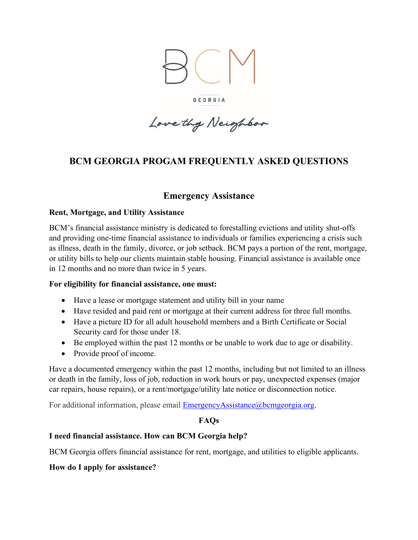

GEORGIA

Love thy Neighbor

## **BCM GEORGIA PROGAM FREQUENTLY ASKED QUESTIONS**

## **Emergency Assistance**

#### **Rent, Mortgage, and Utility Assistance**

BCM's financial assistance ministry is dedicated to forestalling evictions and utility shut-offs and providing one-time financial assistance to individuals or families experiencing a crisis such as illness, death in the family, divorce, or job setback. BCM pays a portion of the rent, mortgage, or utility bills to help our clients maintain stable housing. Financial assistance is available once in 12 months and no more than twice in 5 years.

#### **For eligibility for financial assistance, one must:**

- Have a lease or mortgage statement and utility bill in your name
- Have resided and paid rent or mortgage at their current address for three full months.
- Have a picture ID for all adult household members and a Birth Certificate or Social Security card for those under 18.
- Be employed within the past 12 months or be unable to work due to age or disability.
- Provide proof of income.

Have a documented emergency within the past 12 months, including but not limited to an illness or death in the family, loss of job, reduction in work hours or pay, unexpected expenses (major car repairs, house repairs), or a rent/mortgage/utility late notice or disconnection notice.

For additional information, please email [EmergencyAssistance@bcmgeorgia.org.](mailto:EmergencyAssistance@bcmgeorgia.org)

#### **FAQs**

#### **I need financial assistance. How can BCM Georgia help?**

BCM Georgia offers financial assistance for rent, mortgage, and utilities to eligible applicants.

**How do I apply for assistance?**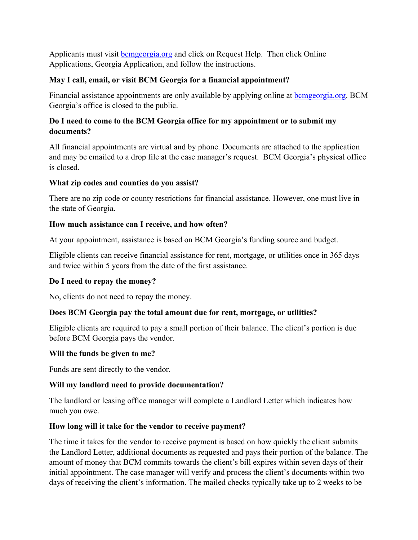Applicants must visit **b**cmgeorgia.org and click on Request Help. Then click Online Applications, Georgia Application, and follow the instructions.

## **May I call, email, or visit BCM Georgia for a financial appointment?**

Financial assistance appointments are only available by applying online at **b**cmgeorgia.org. BCM Georgia's office is closed to the public.

### **Do I need to come to the BCM Georgia office for my appointment or to submit my documents?**

All financial appointments are virtual and by phone. Documents are attached to the application and may be emailed to a drop file at the case manager's request. BCM Georgia's physical office is closed.

#### **What zip codes and counties do you assist?**

There are no zip code or county restrictions for financial assistance. However, one must live in the state of Georgia.

### **How much assistance can I receive, and how often?**

At your appointment, assistance is based on BCM Georgia's funding source and budget.

Eligible clients can receive financial assistance for rent, mortgage, or utilities once in 365 days and twice within 5 years from the date of the first assistance.

## **Do I need to repay the money?**

No, clients do not need to repay the money.

## **Does BCM Georgia pay the total amount due for rent, mortgage, or utilities?**

Eligible clients are required to pay a small portion of their balance. The client's portion is due before BCM Georgia pays the vendor.

#### **Will the funds be given to me?**

Funds are sent directly to the vendor.

## **Will my landlord need to provide documentation?**

The landlord or leasing office manager will complete a Landlord Letter which indicates how much you owe.

## **How long will it take for the vendor to receive payment?**

The time it takes for the vendor to receive payment is based on how quickly the client submits the Landlord Letter, additional documents as requested and pays their portion of the balance. The amount of money that BCM commits towards the client's bill expires within seven days of their initial appointment. The case manager will verify and process the client's documents within two days of receiving the client's information. The mailed checks typically take up to 2 weeks to be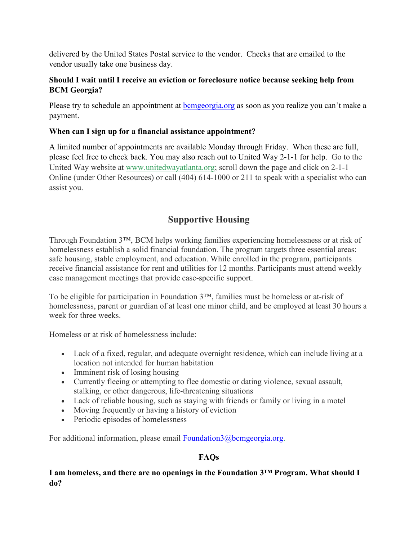delivered by the United States Postal service to the vendor. Checks that are emailed to the vendor usually take one business day.

## **Should I wait until I receive an eviction or foreclosure notice because seeking help from BCM Georgia?**

Please try to schedule an appointment at bemgeorgia.org as soon as you realize you can't make a payment.

## **When can I sign up for a financial assistance appointment?**

A limited number of appointments are available Monday through Friday. When these are full, please feel free to check back. You may also reach out to United Way 2-1-1 for help. Go to the United Way website at [www.unitedwayatlanta.org;](http://www.unitedwayatlanta.org/) scroll down the page and click on 2-1-1 Online (under Other Resources) or call (404) 614-1000 or 211 to speak with a specialist who can assist you.

# **Supportive Housing**

Through Foundation 3™, BCM helps working families experiencing homelessness or at risk of homelessness establish a solid financial foundation. The program targets three essential areas: safe housing, stable employment, and education. While enrolled in the program, participants receive financial assistance for rent and utilities for 12 months. Participants must attend weekly case management meetings that provide case-specific support.

To be eligible for participation in Foundation 3™, families must be homeless or at-risk of homelessness, parent or guardian of at least one minor child, and be employed at least 30 hours a week for three weeks.

Homeless or at risk of homelessness include:

- Lack of a fixed, regular, and adequate overnight residence, which can include living at a location not intended for human habitation
- Imminent risk of losing housing
- Currently fleeing or attempting to flee domestic or dating violence, sexual assault, stalking, or other dangerous, life-threatening situations
- Lack of reliable housing, such as staying with friends or family or living in a motel
- Moving frequently or having a history of eviction
- Periodic episodes of homelessness

For additional information, please email [Foundation3@bcmgeorgia.org.](mailto:Foundation3@bcmgeorgia.org)

#### **FAQs**

#### **I am homeless, and there are no openings in the Foundation 3™ Program. What should I do?**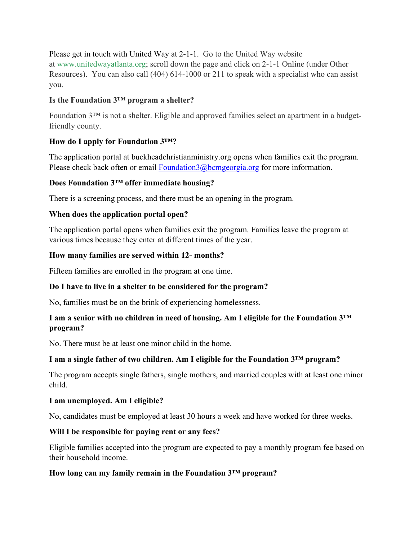Please get in touch with United Way at 2-1-1. Go to the United Way website at [www.unitedwayatlanta.org;](http://www.unitedwayatlanta.org/) scroll down the page and click on 2-1-1 Online (under Other Resources). You can also call (404) 614-1000 or 211 to speak with a specialist who can assist you.

### **Is the Foundation 3™ program a shelter?**

Foundation 3™ is not a shelter. Eligible and approved families select an apartment in a budgetfriendly county.

### **How do I apply for Foundation 3™?**

The application portal at buckheadchristianministry.org opens when families exit the program. Please check back often or email [Foundation3@bcmgeorgia.org](mailto:Foundation3@bcmgeorgia.org) for more information.

### **Does Foundation 3™ offer immediate housing?**

There is a screening process, and there must be an opening in the program.

## **When does the application portal open?**

The application portal opens when families exit the program. Families leave the program at various times because they enter at different times of the year.

### **How many families are served within 12- months?**

Fifteen families are enrolled in the program at one time.

## **Do I have to live in a shelter to be considered for the program?**

No, families must be on the brink of experiencing homelessness.

### **I am a senior with no children in need of housing. Am I eligible for the Foundation 3™ program?**

No. There must be at least one minor child in the home.

## **I am a single father of two children. Am I eligible for the Foundation 3™ program?**

The program accepts single fathers, single mothers, and married couples with at least one minor child.

#### **I am unemployed. Am I eligible?**

No, candidates must be employed at least 30 hours a week and have worked for three weeks.

#### **Will I be responsible for paying rent or any fees?**

Eligible families accepted into the program are expected to pay a monthly program fee based on their household income.

#### **How long can my family remain in the Foundation 3™ program?**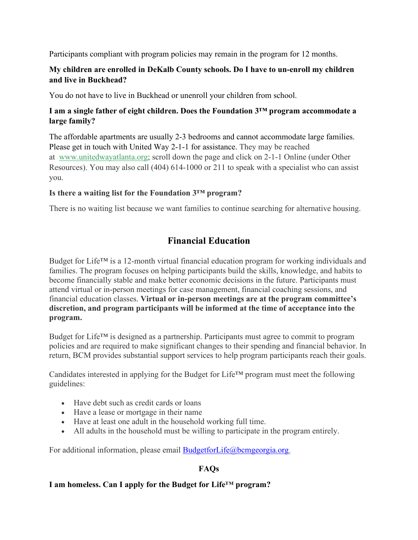Participants compliant with program policies may remain in the program for 12 months.

## **My children are enrolled in DeKalb County schools. Do I have to un-enroll my children and live in Buckhead?**

You do not have to live in Buckhead or unenroll your children from school.

## **I am a single father of eight children. Does the Foundation 3™ program accommodate a large family?**

The affordable apartments are usually 2-3 bedrooms and cannot accommodate large families. Please get in touch with United Way 2-1-1 for assistance. They may be reached at [www.unitedwayatlanta.org;](http://www.unitedwayatlanta.org/) scroll down the page and click on 2-1-1 Online (under Other Resources). You may also call (404) 614-1000 or 211 to speak with a specialist who can assist you.

### **Is there a waiting list for the Foundation 3™ program?**

There is no waiting list because we want families to continue searching for alternative housing.

# **Financial Education**

Budget for Life™ is a 12-month virtual financial education program for working individuals and families. The program focuses on helping participants build the skills, knowledge, and habits to become financially stable and make better economic decisions in the future. Participants must attend virtual or in-person meetings for case management, financial coaching sessions, and financial education classes. **Virtual or in-person meetings are at the program committee's discretion, and program participants will be informed at the time of acceptance into the program.**

Budget for Life™ is designed as a partnership. Participants must agree to commit to program policies and are required to make significant changes to their spending and financial behavior. In return, BCM provides substantial support services to help program participants reach their goals.

Candidates interested in applying for the Budget for Life™ program must meet the following guidelines:

- Have debt such as credit cards or loans
- Have a lease or mortgage in their name
- Have at least one adult in the household working full time.
- All adults in the household must be willing to participate in the program entirely.

For additional information, please email [BudgetforLife@bcmgeorgia.org.](mailto:BudgetforLife@bcmgeorgia.org)

## **FAQs**

#### **I am homeless. Can I apply for the Budget for Life™ program?**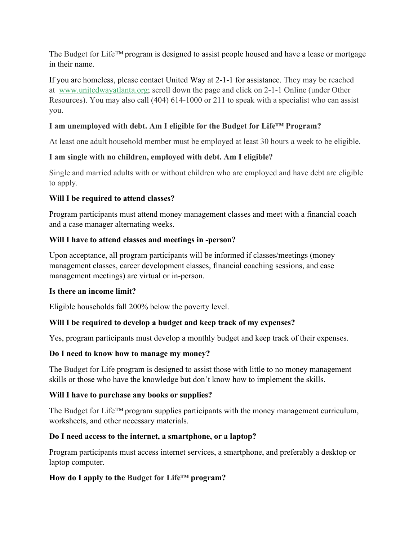The Budget for Life*™* program is designed to assist people housed and have a lease or mortgage in their name.

If you are homeless, please contact United Way at 2-1-1 for assistance. They may be reached at [www.unitedwayatlanta.org;](http://www.unitedwayatlanta.org/) scroll down the page and click on 2-1-1 Online (under Other Resources). You may also call (404) 614-1000 or 211 to speak with a specialist who can assist you.

## **I am unemployed with debt. Am I eligible for the Budget for Life™ Program?**

At least one adult household member must be employed at least 30 hours a week to be eligible.

## **I am single with no children, employed with debt. Am I eligible?**

Single and married adults with or without children who are employed and have debt are eligible to apply.

## **Will I be required to attend classes?**

Program participants must attend money management classes and meet with a financial coach and a case manager alternating weeks.

## **Will I have to attend classes and meetings in -person?**

Upon acceptance, all program participants will be informed if classes/meetings (money management classes, career development classes, financial coaching sessions, and case management meetings) are virtual or in-person.

## **Is there an income limit?**

Eligible households fall 200% below the poverty level.

## **Will I be required to develop a budget and keep track of my expenses?**

Yes, program participants must develop a monthly budget and keep track of their expenses.

## **Do I need to know how to manage my money?**

The Budget for Life program is designed to assist those with little to no money management skills or those who have the knowledge but don't know how to implement the skills.

## **Will I have to purchase any books or supplies?**

The Budget for Life*™* program supplies participants with the money management curriculum, worksheets, and other necessary materials.

## **Do I need access to the internet, a smartphone, or a laptop?**

Program participants must access internet services, a smartphone, and preferably a desktop or laptop computer.

## **How do I apply to the Budget for Life***™* **program?**